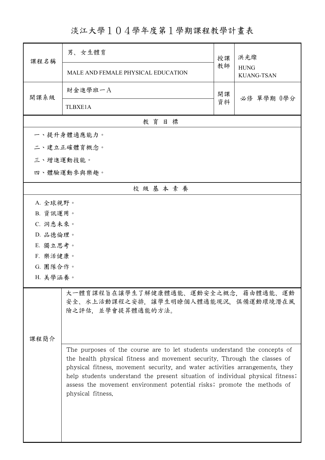淡江大學104學年度第1學期課程教學計畫表

| 課程名稱      | 男、女生體育                                                                                                                                                                                                                                                                                                                                                                                                                   | 授課 | 洪光燦<br><b>HUNG</b><br><b>KUANG-TSAN</b> |
|-----------|--------------------------------------------------------------------------------------------------------------------------------------------------------------------------------------------------------------------------------------------------------------------------------------------------------------------------------------------------------------------------------------------------------------------------|----|-----------------------------------------|
|           | MALE AND FEMALE PHYSICAL EDUCATION                                                                                                                                                                                                                                                                                                                                                                                       | 教師 |                                         |
| 開課系級      | 財金進學班一A                                                                                                                                                                                                                                                                                                                                                                                                                  | 開課 | 必修 單學期 0學分                              |
|           | <b>TLBXE1A</b>                                                                                                                                                                                                                                                                                                                                                                                                           | 資料 |                                         |
|           | 教育目標                                                                                                                                                                                                                                                                                                                                                                                                                     |    |                                         |
|           | 一、提升身體適應能力。                                                                                                                                                                                                                                                                                                                                                                                                              |    |                                         |
|           | 二、建立正確體育概念。                                                                                                                                                                                                                                                                                                                                                                                                              |    |                                         |
| 三、增進運動技能。 |                                                                                                                                                                                                                                                                                                                                                                                                                          |    |                                         |
|           | 四、體驗運動參與樂趣。                                                                                                                                                                                                                                                                                                                                                                                                              |    |                                         |
|           | 校級基本素養                                                                                                                                                                                                                                                                                                                                                                                                                   |    |                                         |
|           | A. 全球視野。                                                                                                                                                                                                                                                                                                                                                                                                                 |    |                                         |
|           | B. 資訊運用。                                                                                                                                                                                                                                                                                                                                                                                                                 |    |                                         |
| C. 洞悉未來。  |                                                                                                                                                                                                                                                                                                                                                                                                                          |    |                                         |
|           | D. 品德倫理。                                                                                                                                                                                                                                                                                                                                                                                                                 |    |                                         |
| E. 獨立思考。  |                                                                                                                                                                                                                                                                                                                                                                                                                          |    |                                         |
|           | F. 樂活健康。                                                                                                                                                                                                                                                                                                                                                                                                                 |    |                                         |
|           | G. 團隊合作。                                                                                                                                                                                                                                                                                                                                                                                                                 |    |                                         |
| H. 美學涵養。  |                                                                                                                                                                                                                                                                                                                                                                                                                          |    |                                         |
| 课程简介      | 大一體育課程旨在讓學生了解健康體適能、運動安全之概念,藉由體適能、運動<br>安全、水上活動課程之安排,讓學生明瞭個人體適能現況,俱備運動環境潛在風<br>險之評估,並學會提昇體適能的方法。                                                                                                                                                                                                                                                                                                                          |    |                                         |
|           | The purposes of the course are to let students understand the concepts of<br>the health physical fitness and movement security. Through the classes of<br>physical fitness, movement security, and water activities arrangements, they<br>help students understand the present situation of individual physical fitness;<br>assess the movement environment potential risks; promote the methods of<br>physical fitness. |    |                                         |

ı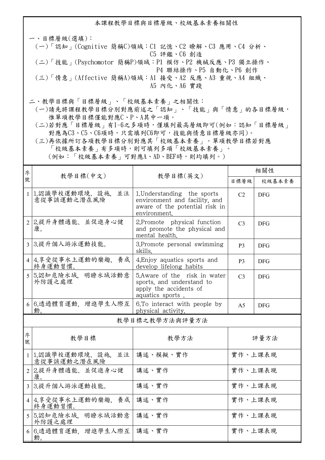本課程教學目標與目標層級、校級基本素養相關性 一、目標層級(選填): (一)「認知」(Cognitive 簡稱C)領域:C1 記憶、C2 瞭解、C3 應用、C4 分析、 C5 評鑑、C6 創造

- (二)「技能」(Psychomotor 簡稱P)領域:P1 模仿、P2 機械反應、P3 獨立操作、 P4 聯結操作、P5 自動化、P6 創作
- (三)「情意」(Affective 簡稱A)領域:A1 接受、A2 反應、A3 重視、A4 組織、 A5 內化、A6 實踐
- 二、教學目標與「目標層級」、「校級基本素養」之相關性:
	- (一)請先將課程教學目標分別對應前述之「認知」、「技能」與「情意」的各目標層級, 惟單項教學目標僅能對應C、P、A其中一項。
	- (二)若對應「目標層級」有1~6之多項時,僅填列最高層級即可(例如:認知「目標層級」 對應為C3、C5、C6項時,只需填列C6即可,技能與情意目標層級亦同)。
	- (三)再依據所訂各項教學目標分別對應其「校級基本素養」。單項教學目標若對應 「校級基本素養」有多項時,則可填列多項「校級基本素養」。

| (例如:「校級基本素養」可對應A、AD、BEF時,則均填列。) |  |  |  |
|---------------------------------|--|--|--|
|---------------------------------|--|--|--|

| 序            | 教學目標(中文)                              | 教學目標(英文)                                                                                                       | 相關性            |            |
|--------------|---------------------------------------|----------------------------------------------------------------------------------------------------------------|----------------|------------|
| 號            |                                       |                                                                                                                | 目標層級           | 校級基本素養     |
| $\mathbf{1}$ | 1.認識學校運動環境、設施,<br>並注<br>意從事該運動之潛在風險   | 1. Understanding the sports<br>environment and facility, and<br>aware of the potential risk in<br>environment. | C <sub>2</sub> | <b>DFG</b> |
|              | 2 2.提升身體適能、並促進身心健<br>康。               | 2. Promote physical function<br>and promote the physical and<br>mental health.                                 | C <sub>3</sub> | <b>DFG</b> |
|              | 3 3.提升個人游泳運動技能。                       | 3. Promote personal swimming<br>skills.                                                                        | P <sub>3</sub> | <b>DFG</b> |
|              | 4 4.享受從事水上運動的樂趣, 養成<br>終身運動習慣。        | 4. Enjoy aquatics sports and<br>develop lifelong habits                                                        | P <sub>3</sub> | <b>DFG</b> |
|              | 5 5.認知危險水域. 明瞭水域活動意<br>外防護之處理         | 5. Aware of the risk in water<br>sports, and understand to<br>apply the accidents of<br>aquatics sports.       | C <sub>3</sub> | <b>DFG</b> |
|              | 6 6.透過體育運動、增進學生人際互<br>動。              | 6. To interact with people by<br>physical activity.                                                            | A <sub>5</sub> | <b>DFG</b> |
|              | 教學目標之教學方法與評量方法                        |                                                                                                                |                |            |
| 序<br>號       | 教學目標                                  | 教學方法                                                                                                           |                | 評量方法       |
|              | 1 1.認識學校運動環境、設施.<br>並注<br>意從事該運動之潛在風險 | 講述、模擬、實作                                                                                                       |                | 實作、上課表現    |
|              | 2 2.提升身體適能、並促進身心健<br>康。               | 講述、實作                                                                                                          | 實作、上課表現        |            |
|              | 3 3.提升個人游泳運動技能。                       | 講述、實作                                                                                                          |                | 實作、上課表現    |
|              | 4 4.享受從事水上運動的樂趣,養成<br>終身運動習慣。         | 講述、實作                                                                                                          | 實作、上課表現        |            |
|              | 5 5.認知危險水域,<br>明瞭水域活動意<br>外防護之處理      | 講述、實作                                                                                                          |                | 實作、上課表現    |
| 6            | 6.透過體育運動, 增進學生人際互<br>動。               | 講述、實作                                                                                                          | 實作、上課表現        |            |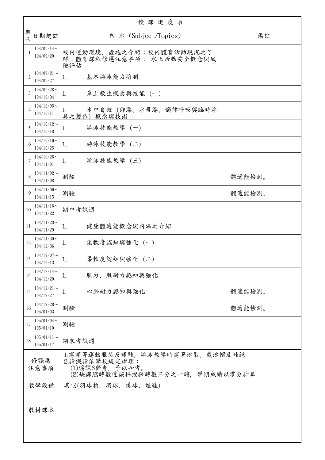|                | 授課進度表                                                                                                              |                                                            |        |  |
|----------------|--------------------------------------------------------------------------------------------------------------------|------------------------------------------------------------|--------|--|
| 週<br>次         | 日期起訖                                                                                                               | 内 容 (Subject/Topics)                                       | 備註     |  |
| -1             | $104/09/14$ ~<br>104/09/20                                                                                         | 校內運動環境、設施之介紹;校內體育活動現況之了<br>解;體育課程修選注意事項; 水上活動安全概念與風<br>險評估 |        |  |
| $\overline{2}$ | $104/09/21$ ~<br>104/09/27                                                                                         | 基本游泳能力檢測<br>1.                                             |        |  |
| 3              | $104/09/28$ ~<br>104/10/04                                                                                         | 岸上救生概念與技能 (一)<br>1.                                        |        |  |
| 4              | $104/10/05$ ~<br>104/10/11                                                                                         | 水中自救(仰漂、水母漂、韻律呼吸與臨時浮<br>Ī.<br>具之製作) 概念與技術                  |        |  |
| 5              | $104/10/12$ ~<br>104/10/18                                                                                         | 游泳技能教學 (一)<br>1.                                           |        |  |
| 6              | $104/10/19$ ~<br>104/10/25                                                                                         | 游泳技能教學 (二)<br>1.                                           |        |  |
| 7              | $104/10/26$ ~<br>104/11/01                                                                                         | 游泳技能教學 (三)<br>1.                                           |        |  |
| 8              | $104/11/02$ ~<br>104/11/08                                                                                         | 測驗                                                         | 體適能檢測。 |  |
| 9              | $104/11/09$ ~<br>104/11/15                                                                                         | 測驗                                                         | 體適能檢測。 |  |
| 10             | $104/11/16 \sim$<br>104/11/22                                                                                      | 期中考試週                                                      |        |  |
| 11             | $104/11/23$ ~<br>104/11/29                                                                                         | 健康體適能概念與內涵之介紹<br>1.                                        |        |  |
| 12             | $104/11/30$ ~<br>104/12/06                                                                                         | 柔軟度認知與強化 (一)<br>1.                                         |        |  |
| 13             | $104/12/07$ ~<br>104/12/13                                                                                         | 柔軟度認知與強化 (二)<br>1                                          |        |  |
| 14             | $104/12/14$ ~<br>104/12/20                                                                                         | 肌力、肌耐力認知與強化<br>1.                                          |        |  |
| 15             | $104/12/21$ ~<br>104/12/27                                                                                         | 心肺耐力認知與強化<br>1.                                            | 體適能檢測。 |  |
| 16             | $104/12/28$ ~<br>105/01/03                                                                                         | 測驗                                                         | 體適能檢測。 |  |
| 17             | $105/01/04$ ~<br>105/01/10                                                                                         | 測驗                                                         |        |  |
| 18             | $105/01/11$ ~<br>105/01/17                                                                                         | 期末考試週                                                      |        |  |
|                | 1.需穿著運動服裝及球鞋。游泳教學時需著泳裝、戴泳帽及蛙鏡<br>修課應<br>2.請假請依學校規定辦理:<br>(1)曠課6節者, 予以扣考。<br>注意事項<br>(2)缺課總時數達該科授課時數三分之一時,學期成績以零分計算 |                                                            |        |  |
|                | 其它(羽球拍、羽球、排球、蛙鞋)<br>教學設備                                                                                           |                                                            |        |  |
|                | 教材課本                                                                                                               |                                                            |        |  |
|                |                                                                                                                    |                                                            |        |  |